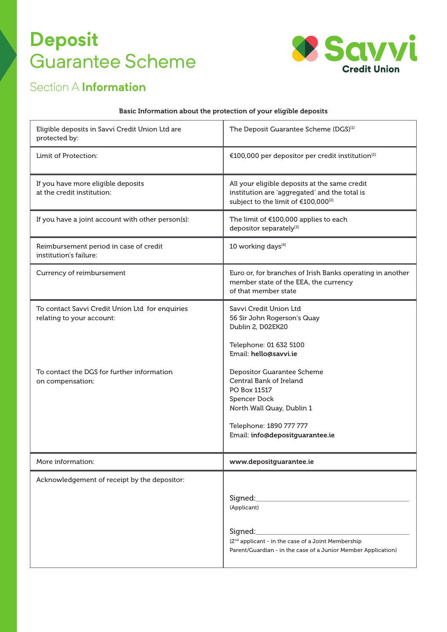# **Deposit**  Guarantee Scheme



## Section A **Information**

#### Basic Information about the protection of your eligible deposits

| Eligible deposits in Savvi Credit Union Ltd are<br>protected by:                                                                               | The Deposit Guarantee Scheme (DGS) <sup>[1]</sup>                                                                                                                                      |
|------------------------------------------------------------------------------------------------------------------------------------------------|----------------------------------------------------------------------------------------------------------------------------------------------------------------------------------------|
| Limit of Protection:                                                                                                                           | €100,000 per depositor per credit institution <sup>[2]</sup>                                                                                                                           |
| If you have more eligible deposits<br>at the credit institution:                                                                               | All your eligible deposits at the same credit<br>institution are 'aggregated' and the total is<br>subject to the limit of €100,000 <sup>[2]</sup>                                      |
| If you have a joint account with other person(s):                                                                                              | The limit of €100,000 applies to each<br>depositor separately <sup>[3]</sup>                                                                                                           |
| Reimbursement period in case of credit<br>institution's failure:                                                                               | 10 working days <sup>[4]</sup>                                                                                                                                                         |
| Currency of reimbursement                                                                                                                      | Euro or, for branches of Irish Banks operating in another<br>member state of the EEA, the currency<br>of that member state                                                             |
| To contact Savvi Credit Union Ltd for enquiries<br>relating to your account:<br>To contact the DGS for further information<br>on compensation: | Savvi Credit Union Ltd<br>56 Sir John Rogerson's Quay<br>Dublin 2, D02EK20<br>Telephone: 01 632 5100<br>Email: hello@savvi.ie<br>Depositor Guarantee Scheme<br>Central Bank of Ireland |
|                                                                                                                                                | PO Box 11517<br><b>Spencer Dock</b><br>North Wall Quay, Dublin 1<br>Telephone: 1890 777 777<br>Email: info@depositguarantee.ie                                                         |
| More information:                                                                                                                              | www.depositguarantee.ie                                                                                                                                                                |
| Acknowledgement of receipt by the depositor:                                                                                                   | Signed:<br>(Applicant)<br>Signed:<br>(2 <sup>nd</sup> applicant - in the case of a Joint Membership<br>Parent/Guardian - in the case of a Junior Member Application)                   |